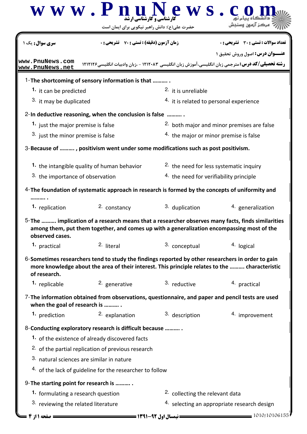|                                               | $\bf W \, \bf W \, \bf W \, \bf P \, \bf R \bf L$ ارشناهی و کارشناهی ارشد<br>حضرت علی(ع): دانش راهبر نیکویی برای ایمان است                                                                          | e w s                                              |                                                                                                                                                    |  |  |
|-----------------------------------------------|-----------------------------------------------------------------------------------------------------------------------------------------------------------------------------------------------------|----------------------------------------------------|----------------------------------------------------------------------------------------------------------------------------------------------------|--|--|
| <mark>سری سوال :</mark> یک ۱                  | <b>زمان آزمون (دقیقه) : تستی : 70 ٪ تشریحی : 0</b>                                                                                                                                                  |                                                    | تعداد سوالات : تستي : 30 ٪ تشريحي : 0                                                                                                              |  |  |
| www.PnuNews.com<br>www.PnuNews.net            |                                                                                                                                                                                                     |                                                    | <b>عنــوان درس:</b> اصول وروش تحقیق ۱<br><b>رشته تحصیلی/کد درس:</b> مترجمی زبان انگلیسی،آموزش زبان انگلیسی ۱۲۱۲۰۸۳ - ،زبان وادبیات انگلیسی۱۲۱۲۱۶ ( |  |  |
|                                               | 1-The shortcoming of sensory information is that                                                                                                                                                    |                                                    |                                                                                                                                                    |  |  |
|                                               | 1. it can be predicted                                                                                                                                                                              |                                                    | <sup>2</sup> it is unreliable                                                                                                                      |  |  |
|                                               | 3. it may be duplicated                                                                                                                                                                             |                                                    | 4. it is related to personal experience                                                                                                            |  |  |
|                                               | 2-In deductive reasoning, when the conclusion is false                                                                                                                                              |                                                    |                                                                                                                                                    |  |  |
| 1. just the major premise is false            |                                                                                                                                                                                                     | 2. both major and minor premises are false         |                                                                                                                                                    |  |  |
| <sup>3.</sup> just the minor premise is false |                                                                                                                                                                                                     | <sup>4.</sup> the major or minor premise is false  |                                                                                                                                                    |  |  |
|                                               | 3-Because of , positivism went under some modifications such as post positivism.                                                                                                                    |                                                    |                                                                                                                                                    |  |  |
| 1. the intangible quality of human behavior   |                                                                                                                                                                                                     | <sup>2.</sup> the need for less systematic inquiry |                                                                                                                                                    |  |  |
| 3. the importance of observation              |                                                                                                                                                                                                     | <sup>4.</sup> the need for verifiability principle |                                                                                                                                                    |  |  |
|                                               | 4-The foundation of systematic approach in research is formed by the concepts of uniformity and                                                                                                     |                                                    |                                                                                                                                                    |  |  |
| 1. replication                                | 2. constancy                                                                                                                                                                                        | 3. duplication                                     | 4. generalization                                                                                                                                  |  |  |
| observed cases.                               | among them, put them together, and comes up with a generalization encompassing most of the                                                                                                          |                                                    | 5-The  implication of a research means that a researcher observes many facts, finds similarities                                                   |  |  |
| <sup>1</sup> practical                        | 2. literal                                                                                                                                                                                          | 3. conceptual                                      | 4. logical                                                                                                                                         |  |  |
| of research.                                  | 6-Sometimes researchers tend to study the findings reported by other researchers in order to gain<br>more knowledge about the area of their interest. This principle relates to the  characteristic |                                                    |                                                                                                                                                    |  |  |
| 1. replicable                                 | 2. generative                                                                                                                                                                                       | 3. reductive                                       | 4. practical                                                                                                                                       |  |  |
| when the goal of research is                  | 7-The information obtained from observations, questionnaire, and paper and pencil tests are used                                                                                                    |                                                    |                                                                                                                                                    |  |  |
| 1. prediction                                 | 2. explanation                                                                                                                                                                                      | 3. description                                     | 4. improvement                                                                                                                                     |  |  |
|                                               | 8-Conducting exploratory research is difficult because                                                                                                                                              |                                                    |                                                                                                                                                    |  |  |
|                                               | 1. of the existence of already discovered facts                                                                                                                                                     |                                                    |                                                                                                                                                    |  |  |
|                                               | <sup>2.</sup> of the partial replication of previous research                                                                                                                                       |                                                    |                                                                                                                                                    |  |  |
| 3. natural sciences are similar in nature     |                                                                                                                                                                                                     |                                                    |                                                                                                                                                    |  |  |
|                                               | 4. of the lack of guideline for the researcher to follow                                                                                                                                            |                                                    |                                                                                                                                                    |  |  |
| 9-The starting point for research is          |                                                                                                                                                                                                     |                                                    |                                                                                                                                                    |  |  |
| 1. formulating a research question            |                                                                                                                                                                                                     | <sup>2</sup> collecting the relevant data          |                                                                                                                                                    |  |  |
| 3. reviewing the related literature           |                                                                                                                                                                                                     | 4. selecting an appropriate research design        |                                                                                                                                                    |  |  |
|                                               | = نیمسال اول 92-1391 <del>======</del>                                                                                                                                                              |                                                    | 1010/10106155                                                                                                                                      |  |  |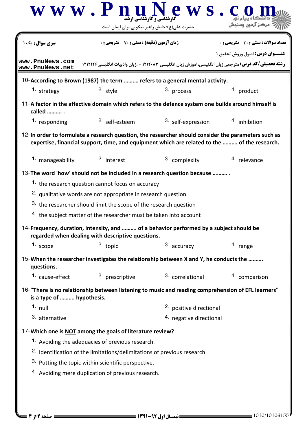|                                                     | حضرت علی(ع): دانش راهبر نیکویی برای ایمان است                                       |                                                                                                                                                                                                     |                                       |  |
|-----------------------------------------------------|-------------------------------------------------------------------------------------|-----------------------------------------------------------------------------------------------------------------------------------------------------------------------------------------------------|---------------------------------------|--|
| <b>سری سوال :</b> یک ۱                              | <b>زمان آزمون (دقیقه) : تستی : 70 ٪ تشریحی : 0</b>                                  |                                                                                                                                                                                                     | تعداد سوالات : تستي : 30 ٪ تشريحي : 0 |  |
| www.PnuNews.com                                     |                                                                                     | <b>رشته تحصیلی/کد درس:</b> مترجمی زبان انگلیسی،آموزش زبان انگلیسی ۱۲۱۲۰۸۳ - ،زبان وادبیات انگلیسی۱۲۱۲۱۶ (                                                                                           | <b>عنــوان درس:</b> اصول وروش تحقیق ۱ |  |
| www.PnuNews.net                                     |                                                                                     |                                                                                                                                                                                                     |                                       |  |
|                                                     |                                                                                     | 10-According to Brown (1987) the term  refers to a general mental activity.                                                                                                                         |                                       |  |
| 1. strategy                                         | 2. style                                                                            | 3. process                                                                                                                                                                                          | 4. product                            |  |
| called                                              |                                                                                     | 11-A factor in the affective domain which refers to the defence system one builds around himself is                                                                                                 |                                       |  |
| 1. responding                                       | 2. self-esteem                                                                      | 3. self-expression                                                                                                                                                                                  | 4. inhibition                         |  |
|                                                     |                                                                                     | 12-In order to formulate a research question, the researcher should consider the parameters such as<br>expertise, financial support, time, and equipment which are related to the  of the research. |                                       |  |
| 1. manageability                                    | 2. interest                                                                         | 3. complexity                                                                                                                                                                                       | 4. relevance                          |  |
|                                                     |                                                                                     | 13-The word 'how' should not be included in a research question because                                                                                                                             |                                       |  |
|                                                     | <sup>1</sup> the research question cannot focus on accuracy                         |                                                                                                                                                                                                     |                                       |  |
|                                                     | <sup>2.</sup> qualitative words are not appropriate in research question            |                                                                                                                                                                                                     |                                       |  |
|                                                     | 3. the researcher should limit the scope of the research question                   |                                                                                                                                                                                                     |                                       |  |
|                                                     | 4. the subject matter of the researcher must be taken into account                  |                                                                                                                                                                                                     |                                       |  |
|                                                     | regarded when dealing with descriptive questions.                                   | 14-Frequency, duration, intensity, and  of a behavior performed by a subject should be                                                                                                              |                                       |  |
| 1. scope                                            | $2.$ topic                                                                          | 3. accuracy                                                                                                                                                                                         | 4. range                              |  |
| questions.                                          |                                                                                     | 15-When the researcher investigates the relationship between X and Y, he conducts the                                                                                                               |                                       |  |
|                                                     | 1. cause-effect 2. prescriptive                                                     | 3. correlational                                                                                                                                                                                    | 4. comparison                         |  |
| is a type of  hypothesis.                           |                                                                                     | 16-"There is no relationship between listening to music and reading comprehension of EFL learners"                                                                                                  |                                       |  |
| 1. $null$                                           |                                                                                     |                                                                                                                                                                                                     | 2. positive directional               |  |
| 3. alternative                                      |                                                                                     | 4. negative directional                                                                                                                                                                             |                                       |  |
|                                                     | 17-Which one is <b>NOT</b> among the goals of literature review?                    |                                                                                                                                                                                                     |                                       |  |
|                                                     | 1. Avoiding the adequacies of previous research.                                    |                                                                                                                                                                                                     |                                       |  |
|                                                     | <sup>2.</sup> Identification of the limitations/delimitations of previous research. |                                                                                                                                                                                                     |                                       |  |
|                                                     |                                                                                     |                                                                                                                                                                                                     |                                       |  |
| 3. Putting the topic within scientific perspective. |                                                                                     |                                                                                                                                                                                                     |                                       |  |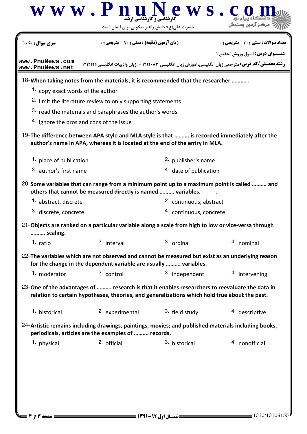|                                                                                                                 | $\bf W \, \bf W \cdot \bf P \, \bf n$ ل المعروفات التي ارشناسي و $\bf P \, \bf W \, \bf S \, \bf .$<br>حضرت علی(ع): دانش راهبر نیکویی برای ایمان است |                         |                                                                                                                                                    |  |  |
|-----------------------------------------------------------------------------------------------------------------|------------------------------------------------------------------------------------------------------------------------------------------------------|-------------------------|----------------------------------------------------------------------------------------------------------------------------------------------------|--|--|
| سری سوال : یک ۱                                                                                                 | <b>زمان آزمون (دقیقه) : تستی : 70 قشریحی : 0</b>                                                                                                     |                         | تعداد سوالات : تستي : 30 ٪ تشريحي : 0                                                                                                              |  |  |
| www.PnuNews.com<br>www.PnuNews.net                                                                              |                                                                                                                                                      |                         | <b>عنــوان درس:</b> اصول وروش تحقیق ۱<br><b>رشته تحصیلی/کد درس:</b> مترجمی زبان انگلیسی،آموزش زبان انگلیسی ۱۲۱۲۰۸۳ - ،زبان وادبیات انگلیسی۱۲۱۲۱۶ ( |  |  |
| 18-When taking notes from the materials, it is recommended that the researcher                                  |                                                                                                                                                      |                         |                                                                                                                                                    |  |  |
| 1. copy exact words of the author                                                                               |                                                                                                                                                      |                         |                                                                                                                                                    |  |  |
|                                                                                                                 | <sup>2.</sup> limit the literature review to only supporting statements                                                                              |                         |                                                                                                                                                    |  |  |
|                                                                                                                 | 3. read the materials and paraphrases the author's words                                                                                             |                         |                                                                                                                                                    |  |  |
| 4. ignore the pros and cons of the issue                                                                        |                                                                                                                                                      |                         |                                                                                                                                                    |  |  |
| 19-The difference between APA style and MLA style is that  is recorded immediately after the                    | author's name in APA, whereas it is located at the end of the entry in MLA.                                                                          |                         |                                                                                                                                                    |  |  |
| 1. place of publication                                                                                         |                                                                                                                                                      | 2. publisher's name     |                                                                                                                                                    |  |  |
| 3. author's first name                                                                                          |                                                                                                                                                      | 4. date of publication  |                                                                                                                                                    |  |  |
| 20-Some variables that can range from a minimum point up to a maximum point is called  and                      | others that cannot be measured directly is named  variables.                                                                                         |                         |                                                                                                                                                    |  |  |
| 1. abstract, discrete                                                                                           |                                                                                                                                                      | 2. continuous, abstract |                                                                                                                                                    |  |  |
| 3. discrete, concrete                                                                                           |                                                                                                                                                      |                         | 4. continuous, concrete                                                                                                                            |  |  |
| 21-Objects are ranked on a particular variable along a scale from high to low or vice-versa through<br>scaling. |                                                                                                                                                      |                         |                                                                                                                                                    |  |  |
| 1. ratio                                                                                                        | 2. interval                                                                                                                                          | 3. ordinal              | 4. nominal                                                                                                                                         |  |  |
| 22-The variables which are not observed and cannot be measured but exist as an underlying reason                | for the change in the dependent variable are usually  variables.                                                                                     |                         |                                                                                                                                                    |  |  |
| 1. moderator                                                                                                    | 2. control                                                                                                                                           | 3. independent          | 4. intervening                                                                                                                                     |  |  |
| 23-One of the advantages of  research is that it enables researchers to reevaluate the data in                  | relation to certain hypotheses, theories, and generalizations which hold true about the past.                                                        |                         |                                                                                                                                                    |  |  |
| 1. historical                                                                                                   | 2. experimental                                                                                                                                      | 3. field study          | 4. descriptive                                                                                                                                     |  |  |
| 24-Artistic remains including drawings, paintings, movies; and published materials including books,             | periodicals, articles are the examples of  records.                                                                                                  |                         |                                                                                                                                                    |  |  |
| 1. physical                                                                                                     | 2. official                                                                                                                                          | 3. historical           | 4. nonofficial                                                                                                                                     |  |  |
|                                                                                                                 |                                                                                                                                                      |                         |                                                                                                                                                    |  |  |